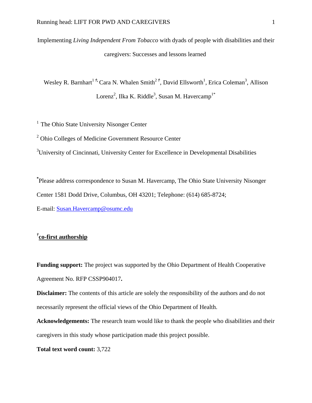Implementing *Living Independent From Tobacco* with dyads of people with disabilities and their caregivers: Successes and lessons learned

Wesley R. Barnhart<sup>1</sup><sup>†</sup>, Cara N. Whalen Smith<sup>2†</sup>, David Ellsworth<sup>1</sup>, Erica Coleman<sup>3</sup>, Allison Lorenz<sup>2</sup>, Ilka K. Riddle<sup>3</sup>, Susan M. Havercamp<sup>1\*</sup>

 $<sup>1</sup>$  The Ohio State University Nisonger Center</sup>

<sup>2</sup> Ohio Colleges of Medicine Government Resource Center

<sup>3</sup>University of Cincinnati, University Center for Excellence in Developmental Disabilities

**\*** Please address correspondence to Susan M. Havercamp, The Ohio State University Nisonger Center 1581 Dodd Drive, Columbus, OH 43201; Telephone: (614) 685-8724; E-mail: Susan.Havercamp@osumc.edu

### *†* **co-first authorship**

**Funding support:** The project was supported by the Ohio Department of Health Cooperative Agreement No. RFP CSSP904017**.**

**Disclaimer:** The contents of this article are solely the responsibility of the authors and do not necessarily represent the official views of the Ohio Department of Health.

**Acknowledgements:** The research team would like to thank the people who disabilities and their caregivers in this study whose participation made this project possible.

**Total text word count:** 3,722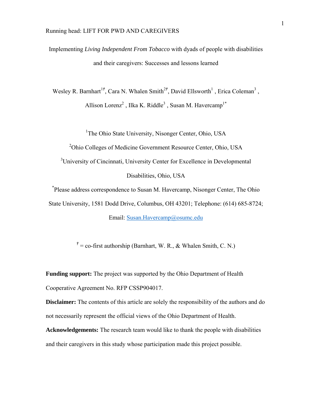Implementing *Living Independent From Tobacco* with dyads of people with disabilities and their caregivers: Successes and lessons learned

Wesley R. Barnhart<sup>1†</sup>, Cara N. Whalen Smith<sup>2†</sup>, David Ellsworth<sup>1</sup>, Erica Coleman<sup>3</sup>, Allison Lorenz<sup>2</sup>, Ilka K. Riddle<sup>3</sup>, Susan M. Havercamp<sup>1\*</sup>

<sup>1</sup>The Ohio State University, Nisonger Center, Ohio, USA

<sup>2</sup>Ohio Colleges of Medicine Government Resource Center, Ohio, USA

<sup>3</sup>University of Cincinnati, University Center for Excellence in Developmental Disabilities, Ohio, USA

\* Please address correspondence to Susan M. Havercamp, Nisonger Center, The Ohio State University, 1581 Dodd Drive, Columbus, OH 43201; Telephone: (614) 685-8724;

Email: Susan.Havercamp@osumc.edu

 $\dot{f}$  = co-first authorship (Barnhart, W. R., & Whalen Smith, C. N.)

**Funding support:** The project was supported by the Ohio Department of Health Cooperative Agreement No. RFP CSSP904017.

**Disclaimer:** The contents of this article are solely the responsibility of the authors and do not necessarily represent the official views of the Ohio Department of Health.

**Acknowledgements:** The research team would like to thank the people with disabilities and their caregivers in this study whose participation made this project possible.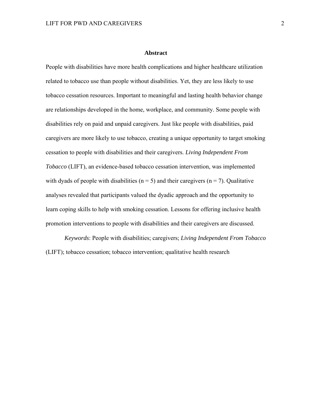#### **Abstract**

People with disabilities have more health complications and higher healthcare utilization related to tobacco use than people without disabilities. Yet, they are less likely to use tobacco cessation resources. Important to meaningful and lasting health behavior change are relationships developed in the home, workplace, and community. Some people with disabilities rely on paid and unpaid caregivers. Just like people with disabilities, paid caregivers are more likely to use tobacco, creating a unique opportunity to target smoking cessation to people with disabilities and their caregivers. *Living Independent From Tobacco* (LIFT), an evidence-based tobacco cessation intervention, was implemented with dyads of people with disabilities ( $n = 5$ ) and their caregivers ( $n = 7$ ). Qualitative analyses revealed that participants valued the dyadic approach and the opportunity to learn coping skills to help with smoking cessation. Lessons for offering inclusive health promotion interventions to people with disabilities and their caregivers are discussed.

 *Keywords*: People with disabilities; caregivers; *Living Independent From Tobacco* (LIFT); tobacco cessation; tobacco intervention; qualitative health research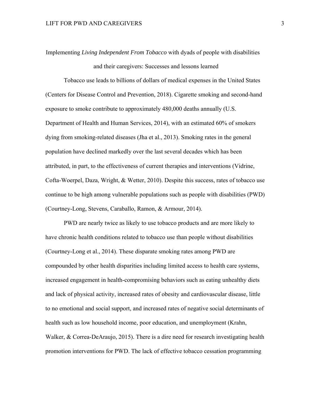# Implementing *Living Independent From Tobacco* with dyads of people with disabilities and their caregivers: Successes and lessons learned

Tobacco use leads to billions of dollars of medical expenses in the United States (Centers for Disease Control and Prevention, 2018). Cigarette smoking and second-hand exposure to smoke contribute to approximately 480,000 deaths annually (U.S. Department of Health and Human Services, 2014), with an estimated 60% of smokers dying from smoking-related diseases (Jha et al., 2013). Smoking rates in the general population have declined markedly over the last several decades which has been attributed, in part, to the effectiveness of current therapies and interventions (Vidrine, Cofta-Woerpel, Daza, Wright, & Wetter, 2010). Despite this success, rates of tobacco use continue to be high among vulnerable populations such as people with disabilities (PWD) (Courtney-Long, Stevens, Caraballo, Ramon, & Armour, 2014).

PWD are nearly twice as likely to use tobacco products and are more likely to have chronic health conditions related to tobacco use than people without disabilities (Courtney-Long et al., 2014). These disparate smoking rates among PWD are compounded by other health disparities including limited access to health care systems, increased engagement in health-compromising behaviors such as eating unhealthy diets and lack of physical activity, increased rates of obesity and cardiovascular disease, little to no emotional and social support, and increased rates of negative social determinants of health such as low household income, poor education, and unemployment (Krahn, Walker, & Correa-DeAraujo, 2015). There is a dire need for research investigating health promotion interventions for PWD. The lack of effective tobacco cessation programming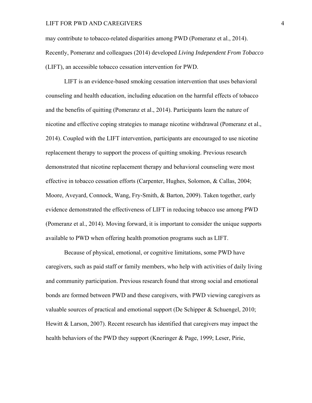may contribute to tobacco-related disparities among PWD (Pomeranz et al., 2014). Recently, Pomeranz and colleagues (2014) developed *Living Independent From Tobacco* (LIFT), an accessible tobacco cessation intervention for PWD.

 LIFT is an evidence-based smoking cessation intervention that uses behavioral counseling and health education, including education on the harmful effects of tobacco and the benefits of quitting (Pomeranz et al., 2014). Participants learn the nature of nicotine and effective coping strategies to manage nicotine withdrawal (Pomeranz et al., 2014). Coupled with the LIFT intervention, participants are encouraged to use nicotine replacement therapy to support the process of quitting smoking. Previous research demonstrated that nicotine replacement therapy and behavioral counseling were most effective in tobacco cessation efforts (Carpenter, Hughes, Solomon, & Callas, 2004; Moore, Aveyard, Connock, Wang, Fry-Smith, & Barton, 2009). Taken together, early evidence demonstrated the effectiveness of LIFT in reducing tobacco use among PWD (Pomeranz et al., 2014). Moving forward, it is important to consider the unique supports available to PWD when offering health promotion programs such as LIFT.

Because of physical, emotional, or cognitive limitations, some PWD have caregivers, such as paid staff or family members, who help with activities of daily living and community participation. Previous research found that strong social and emotional bonds are formed between PWD and these caregivers, with PWD viewing caregivers as valuable sources of practical and emotional support (De Schipper & Schuengel, 2010; Hewitt & Larson, 2007). Recent research has identified that caregivers may impact the health behaviors of the PWD they support (Kneringer & Page, 1999; Leser, Pirie,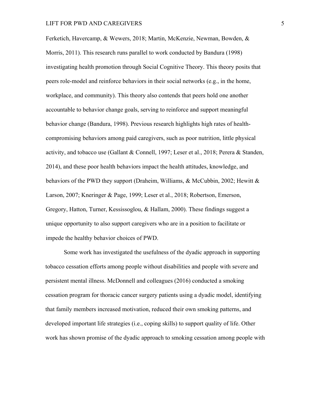Ferketich, Havercamp, & Wewers, 2018; Martin, McKenzie, Newman, Bowden, & Morris, 2011). This research runs parallel to work conducted by Bandura (1998) investigating health promotion through Social Cognitive Theory. This theory posits that peers role-model and reinforce behaviors in their social networks (e.g., in the home, workplace, and community). This theory also contends that peers hold one another accountable to behavior change goals, serving to reinforce and support meaningful behavior change (Bandura, 1998). Previous research highlights high rates of healthcompromising behaviors among paid caregivers, such as poor nutrition, little physical activity, and tobacco use (Gallant & Connell, 1997; Leser et al., 2018; Perera & Standen, 2014), and these poor health behaviors impact the health attitudes, knowledge, and behaviors of the PWD they support (Draheim, Williams, & McCubbin, 2002; Hewitt & Larson, 2007; Kneringer & Page, 1999; Leser et al., 2018; Robertson, Emerson, Gregory, Hatton, Turner, Kessissoglou, & Hallam, 2000). These findings suggest a unique opportunity to also support caregivers who are in a position to facilitate or impede the healthy behavior choices of PWD.

Some work has investigated the usefulness of the dyadic approach in supporting tobacco cessation efforts among people without disabilities and people with severe and persistent mental illness. McDonnell and colleagues (2016) conducted a smoking cessation program for thoracic cancer surgery patients using a dyadic model, identifying that family members increased motivation, reduced their own smoking patterns, and developed important life strategies (i.e., coping skills) to support quality of life. Other work has shown promise of the dyadic approach to smoking cessation among people with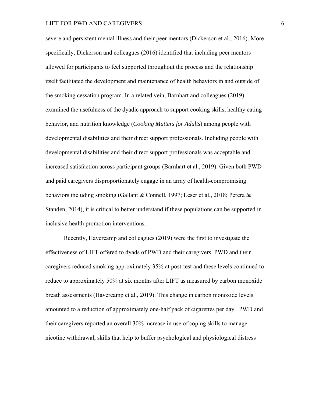severe and persistent mental illness and their peer mentors (Dickerson et al., 2016). More specifically, Dickerson and colleagues (2016) identified that including peer mentors allowed for participants to feel supported throughout the process and the relationship itself facilitated the development and maintenance of health behaviors in and outside of the smoking cessation program. In a related vein, Barnhart and colleagues (2019) examined the usefulness of the dyadic approach to support cooking skills, healthy eating behavior, and nutrition knowledge (*Cooking Matters for Adults*) among people with developmental disabilities and their direct support professionals. Including people with developmental disabilities and their direct support professionals was acceptable and increased satisfaction across participant groups (Barnhart et al., 2019). Given both PWD and paid caregivers disproportionately engage in an array of health-compromising behaviors including smoking (Gallant & Connell, 1997; Leser et al., 2018; Perera & Standen, 2014), it is critical to better understand if these populations can be supported in inclusive health promotion interventions.

Recently, Havercamp and colleagues (2019) were the first to investigate the effectiveness of LIFT offered to dyads of PWD and their caregivers. PWD and their caregivers reduced smoking approximately 35% at post-test and these levels continued to reduce to approximately 50% at six months after LIFT as measured by carbon monoxide breath assessments (Havercamp et al., 2019). This change in carbon monoxide levels amounted to a reduction of approximately one-half pack of cigarettes per day. PWD and their caregivers reported an overall 30% increase in use of coping skills to manage nicotine withdrawal, skills that help to buffer psychological and physiological distress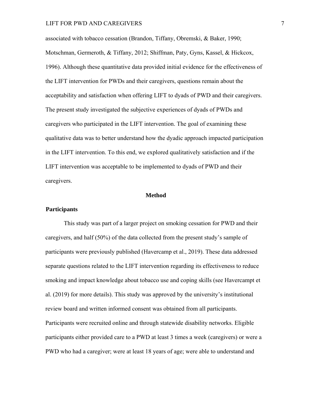associated with tobacco cessation (Brandon, Tiffany, Obremski, & Baker, 1990; Motschman, Germeroth, & Tiffany, 2012; Shiffman, Paty, Gyns, Kassel, & Hickcox, 1996). Although these quantitative data provided initial evidence for the effectiveness of the LIFT intervention for PWDs and their caregivers, questions remain about the acceptability and satisfaction when offering LIFT to dyads of PWD and their caregivers. The present study investigated the subjective experiences of dyads of PWDs and caregivers who participated in the LIFT intervention. The goal of examining these qualitative data was to better understand how the dyadic approach impacted participation in the LIFT intervention. To this end, we explored qualitatively satisfaction and if the LIFT intervention was acceptable to be implemented to dyads of PWD and their caregivers.

#### **Method**

#### **Participants**

This study was part of a larger project on smoking cessation for PWD and their caregivers, and half (50%) of the data collected from the present study's sample of participants were previously published (Havercamp et al., 2019). These data addressed separate questions related to the LIFT intervention regarding its effectiveness to reduce smoking and impact knowledge about tobacco use and coping skills (see Havercampt et al. (2019) for more details). This study was approved by the university's institutional review board and written informed consent was obtained from all participants. Participants were recruited online and through statewide disability networks. Eligible participants either provided care to a PWD at least 3 times a week (caregivers) or were a PWD who had a caregiver; were at least 18 years of age; were able to understand and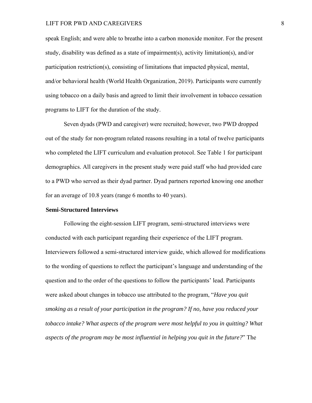speak English; and were able to breathe into a carbon monoxide monitor. For the present study, disability was defined as a state of impairment(s), activity limitation(s), and/or participation restriction(s), consisting of limitations that impacted physical, mental, and/or behavioral health (World Health Organization, 2019). Participants were currently using tobacco on a daily basis and agreed to limit their involvement in tobacco cessation programs to LIFT for the duration of the study.

Seven dyads (PWD and caregiver) were recruited; however, two PWD dropped out of the study for non-program related reasons resulting in a total of twelve participants who completed the LIFT curriculum and evaluation protocol. See Table 1 for participant demographics. All caregivers in the present study were paid staff who had provided care to a PWD who served as their dyad partner. Dyad partners reported knowing one another for an average of 10.8 years (range 6 months to 40 years).

#### **Semi-Structured Interviews**

Following the eight-session LIFT program, semi-structured interviews were conducted with each participant regarding their experience of the LIFT program. Interviewers followed a semi-structured interview guide, which allowed for modifications to the wording of questions to reflect the participant's language and understanding of the question and to the order of the questions to follow the participants' lead. Participants were asked about changes in tobacco use attributed to the program, "*Have you quit smoking as a result of your participation in the program? If no, have you reduced your tobacco intake? What aspects of the program were most helpful to you in quitting? What aspects of the program may be most influential in helping you quit in the future?*" The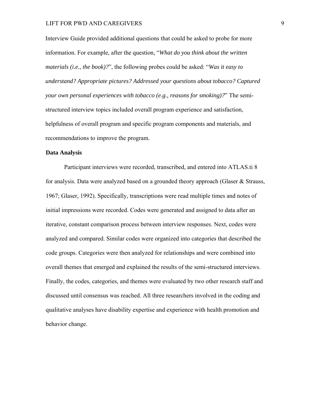Interview Guide provided additional questions that could be asked to probe for more information. For example, after the question, "*What do you think about the written materials (i.e., the book)?*", the following probes could be asked: "*Was it easy to understand? Appropriate pictures? Addressed your questions about tobacco? Captured your own personal experiences with tobacco (e.g., reasons for smoking)?*" The semistructured interview topics included overall program experience and satisfaction, helpfulness of overall program and specific program components and materials, and recommendations to improve the program.

#### **Data Analysis**

 Participant interviews were recorded, transcribed, and entered into ATLAS.ti 8 for analysis. Data were analyzed based on a grounded theory approach (Glaser & Strauss, 1967; Glaser, 1992). Specifically, transcriptions were read multiple times and notes of initial impressions were recorded. Codes were generated and assigned to data after an iterative, constant comparison process between interview responses. Next, codes were analyzed and compared. Similar codes were organized into categories that described the code groups. Categories were then analyzed for relationships and were combined into overall themes that emerged and explained the results of the semi-structured interviews. Finally, the codes, categories, and themes were evaluated by two other research staff and discussed until consensus was reached. All three researchers involved in the coding and qualitative analyses have disability expertise and experience with health promotion and behavior change.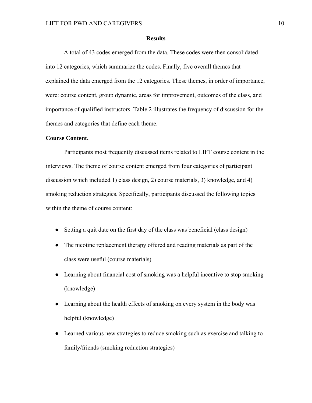#### **Results**

A total of 43 codes emerged from the data. These codes were then consolidated into 12 categories, which summarize the codes. Finally, five overall themes that explained the data emerged from the 12 categories. These themes, in order of importance, were: course content, group dynamic, areas for improvement, outcomes of the class, and importance of qualified instructors. Table 2 illustrates the frequency of discussion for the themes and categories that define each theme.

#### **Course Content.**

Participants most frequently discussed items related to LIFT course content in the interviews. The theme of course content emerged from four categories of participant discussion which included 1) class design, 2) course materials, 3) knowledge, and 4) smoking reduction strategies. Specifically, participants discussed the following topics within the theme of course content:

- Setting a quit date on the first day of the class was beneficial (class design)
- The nicotine replacement therapy offered and reading materials as part of the class were useful (course materials)
- Learning about financial cost of smoking was a helpful incentive to stop smoking (knowledge)
- Learning about the health effects of smoking on every system in the body was helpful (knowledge)
- Learned various new strategies to reduce smoking such as exercise and talking to family/friends (smoking reduction strategies)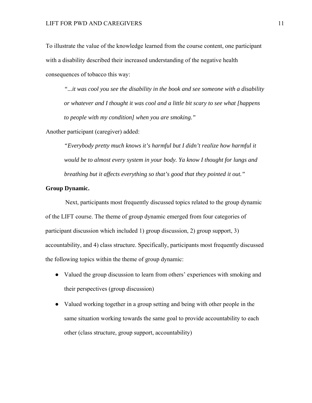To illustrate the value of the knowledge learned from the course content, one participant with a disability described their increased understanding of the negative health consequences of tobacco this way:

*"...it was cool you see the disability in the book and see someone with a disability or whatever and I thought it was cool and a little bit scary to see what [happens to people with my condition] when you are smoking."*

Another participant (caregiver) added:

 *"Everybody pretty much knows it's harmful but I didn't realize how harmful it would be to almost every system in your body. Ya know I thought for lungs and breathing but it affects everything so that's good that they pointed it out."*

#### **Group Dynamic.**

 Next, participants most frequently discussed topics related to the group dynamic of the LIFT course. The theme of group dynamic emerged from four categories of participant discussion which included 1) group discussion, 2) group support, 3) accountability, and 4) class structure. Specifically, participants most frequently discussed the following topics within the theme of group dynamic:

- Valued the group discussion to learn from others' experiences with smoking and their perspectives (group discussion)
- Valued working together in a group setting and being with other people in the same situation working towards the same goal to provide accountability to each other (class structure, group support, accountability)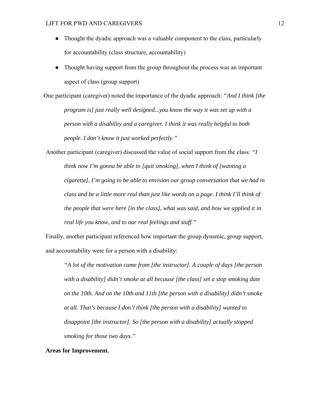- Thought the dyadic approach was a valuable component to the class, particularly for accountability (class structure, accountability)
- Thought having support from the group throughout the process was an important aspect of class (group support)

One participant (caregiver) noted the importance of the dyadic approach: *"And I think [the program is] just really well designed...you know the way it was set up with a person with a disability and a caregiver. I think it was really helpful to both people. I don't know it just worked perfectly."*

Another participant (caregiver) discussed the value of social support from the class: *"I think now I'm gonna be able to [quit smoking], when I think of [wanting a cigarette], I'm going to be able to envision our group conversation that we had in class and be a little more real than just like words on a page. I think I'll think of the people that were here [in the class], what was said, and how we applied it in real life you know, and to our real feelings and stuff."*

Finally, another participant referenced how important the group dynamic, group support, and accountability were for a person with a disability:

*"A lot of the motivation came from [the instructor]. A couple of days [the person with a disability] didn't smoke at all because [the class] set a stop smoking date on the 10th. And on the 10th and 11th [the person with a disability] didn't smoke at all. That's because I don't think [the person with a disability] wanted to disappoint [the instructor]. So [the person with a disability] actually stopped smoking for those two days."*

#### **Areas for Improvement.**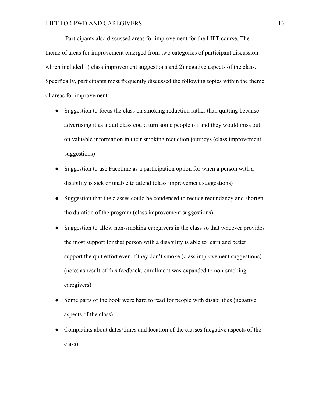Participants also discussed areas for improvement for the LIFT course. The theme of areas for improvement emerged from two categories of participant discussion which included 1) class improvement suggestions and 2) negative aspects of the class. Specifically, participants most frequently discussed the following topics within the theme of areas for improvement:

- Suggestion to focus the class on smoking reduction rather than quitting because advertising it as a quit class could turn some people off and they would miss out on valuable information in their smoking reduction journeys (class improvement suggestions)
- Suggestion to use Facetime as a participation option for when a person with a disability is sick or unable to attend (class improvement suggestions)
- Suggestion that the classes could be condensed to reduce redundancy and shorten the duration of the program (class improvement suggestions)
- Suggestion to allow non-smoking caregivers in the class so that whoever provides the most support for that person with a disability is able to learn and better support the quit effort even if they don't smoke (class improvement suggestions) (note: as result of this feedback, enrollment was expanded to non-smoking caregivers)
- Some parts of the book were hard to read for people with disabilities (negative aspects of the class)
- Complaints about dates/times and location of the classes (negative aspects of the class)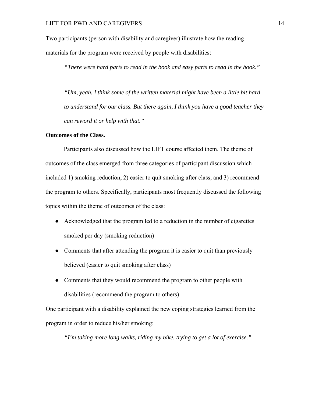Two participants (person with disability and caregiver) illustrate how the reading materials for the program were received by people with disabilities:

*"There were hard parts to read in the book and easy parts to read in the book."* 

*"Um, yeah. I think some of the written material might have been a little bit hard to understand for our class. But there again, I think you have a good teacher they can reword it or help with that."*

#### **Outcomes of the Class.**

Participants also discussed how the LIFT course affected them. The theme of outcomes of the class emerged from three categories of participant discussion which included 1) smoking reduction, 2) easier to quit smoking after class, and 3) recommend the program to others. Specifically, participants most frequently discussed the following topics within the theme of outcomes of the class:

- Acknowledged that the program led to a reduction in the number of cigarettes smoked per day (smoking reduction)
- Comments that after attending the program it is easier to quit than previously believed (easier to quit smoking after class)
- Comments that they would recommend the program to other people with disabilities (recommend the program to others)

One participant with a disability explained the new coping strategies learned from the program in order to reduce his/her smoking:

*"I'm taking more long walks, riding my bike. trying to get a lot of exercise."*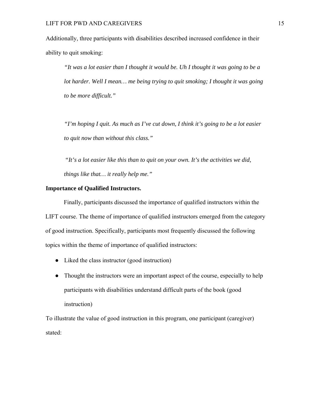Additionally, three participants with disabilities described increased confidence in their ability to quit smoking:

*"It was a lot easier than I thought it would be. Uh I thought it was going to be a lot harder. Well I mean… me being trying to quit smoking; I thought it was going to be more difficult."* 

*"I'm hoping I quit. As much as I've cut down, I think it's going to be a lot easier to quit now than without this class."* 

*"It's a lot easier like this than to quit on your own. It's the activities we did, things like that… it really help me."* 

#### **Importance of Qualified Instructors.**

Finally, participants discussed the importance of qualified instructors within the LIFT course. The theme of importance of qualified instructors emerged from the category of good instruction. Specifically, participants most frequently discussed the following topics within the theme of importance of qualified instructors:

- Liked the class instructor (good instruction)
- Thought the instructors were an important aspect of the course, especially to help participants with disabilities understand difficult parts of the book (good instruction)

To illustrate the value of good instruction in this program, one participant (caregiver) stated: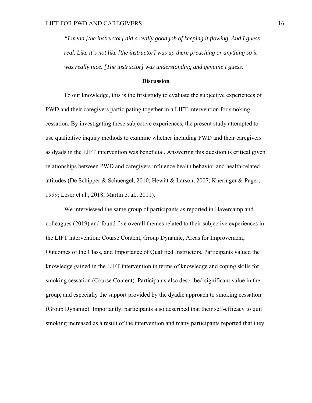*"I mean [the instructor] did a really good job of keeping it flowing. And I guess real. Like it's not like [the instructor] was up there preaching or anything so it was really nice. [The instructor] was understanding and genuine I guess."*

#### **Discussion**

To our knowledge, this is the first study to evaluate the subjective experiences of PWD and their caregivers participating together in a LIFT intervention for smoking cessation. By investigating these subjective experiences, the present study attempted to use qualitative inquiry methods to examine whether including PWD and their caregivers as dyads in the LIFT intervention was beneficial. Answering this question is critical given relationships between PWD and caregivers influence health behavior and health-related attitudes (De Schipper & Schuengel, 2010; Hewitt & Larson, 2007; Kneringer & Pager, 1999; Leser et al., 2018; Martin et al., 2011).

 We interviewed the same group of participants as reported in Havercamp and colleagues (2019) and found five overall themes related to their subjective experiences in the LIFT intervention: Course Content, Group Dynamic, Areas for Improvement, Outcomes of the Class, and Importance of Qualified Instructors. Participants valued the knowledge gained in the LIFT intervention in terms of knowledge and coping skills for smoking cessation (Course Content). Participants also described significant value in the group, and especially the support provided by the dyadic approach to smoking cessation (Group Dynamic). Importantly, participants also described that their self-efficacy to quit smoking increased as a result of the intervention and many participants reported that they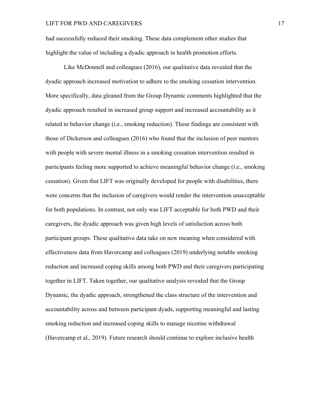had successfully reduced their smoking. These data complement other studies that highlight the value of including a dyadic approach in health promotion efforts.

Like McDonnell and colleagues (2016), our qualitative data revealed that the dyadic approach increased motivation to adhere to the smoking cessation intervention. More specifically, data gleaned from the Group Dynamic comments highlighted that the dyadic approach resulted in increased group support and increased accountability as it related to behavior change (i.e., smoking reduction). These findings are consistent with those of Dickerson and colleagues (2016) who found that the inclusion of peer mentors with people with severe mental illness in a smoking cessation intervention resulted in participants feeling more supported to achieve meaningful behavior change (i.e., smoking cessation). Given that LIFT was originally developed for people with disabilities, there were concerns that the inclusion of caregivers would render the intervention unacceptable for both populations. In contrast, not only was LIFT acceptable for both PWD and their caregivers, the dyadic approach was given high levels of satisfaction across both participant groups. These qualitative data take on new meaning when considered with effectiveness data from Havercamp and colleagues (2019) underlying notable smoking reduction and increased coping skills among both PWD and their caregivers participating together in LIFT. Taken together, our qualitative analysis revealed that the Group Dynamic, the dyadic approach, strengthened the class structure of the intervention and accountability across and between participant dyads, supporting meaningful and lasting smoking reduction and increased coping skills to manage nicotine withdrawal (Havercamp et al., 2019). Future research should continue to explore inclusive health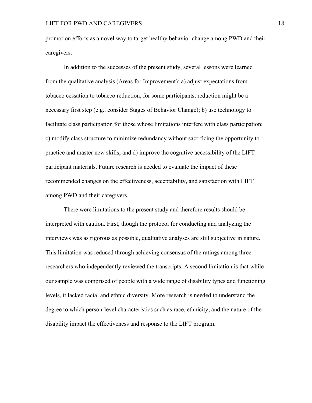promotion efforts as a novel way to target healthy behavior change among PWD and their caregivers.

In addition to the successes of the present study, several lessons were learned from the qualitative analysis (Areas for Improvement): a) adjust expectations from tobacco cessation to tobacco reduction, for some participants, reduction might be a necessary first step (e.g., consider Stages of Behavior Change); b) use technology to facilitate class participation for those whose limitations interfere with class participation; c) modify class structure to minimize redundancy without sacrificing the opportunity to practice and master new skills; and d) improve the cognitive accessibility of the LIFT participant materials. Future research is needed to evaluate the impact of these recommended changes on the effectiveness, acceptability, and satisfaction with LIFT among PWD and their caregivers.

There were limitations to the present study and therefore results should be interpreted with caution. First, though the protocol for conducting and analyzing the interviews was as rigorous as possible, qualitative analyses are still subjective in nature. This limitation was reduced through achieving consensus of the ratings among three researchers who independently reviewed the transcripts. A second limitation is that while our sample was comprised of people with a wide range of disability types and functioning levels, it lacked racial and ethnic diversity. More research is needed to understand the degree to which person-level characteristics such as race, ethnicity, and the nature of the disability impact the effectiveness and response to the LIFT program.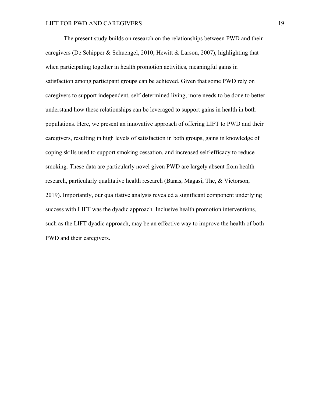The present study builds on research on the relationships between PWD and their caregivers (De Schipper & Schuengel, 2010; Hewitt & Larson, 2007), highlighting that when participating together in health promotion activities, meaningful gains in satisfaction among participant groups can be achieved. Given that some PWD rely on caregivers to support independent, self-determined living, more needs to be done to better understand how these relationships can be leveraged to support gains in health in both populations. Here, we present an innovative approach of offering LIFT to PWD and their caregivers, resulting in high levels of satisfaction in both groups, gains in knowledge of coping skills used to support smoking cessation, and increased self-efficacy to reduce smoking. These data are particularly novel given PWD are largely absent from health research, particularly qualitative health research (Banas, Magasi, The, & Victorson, 2019). Importantly, our qualitative analysis revealed a significant component underlying success with LIFT was the dyadic approach. Inclusive health promotion interventions, such as the LIFT dyadic approach, may be an effective way to improve the health of both PWD and their caregivers.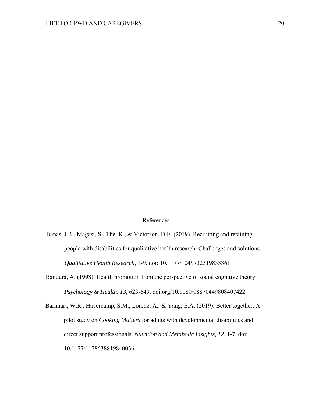#### References

- Banas, J.R., Magasi, S., The, K., & Victorson, D.E. (2019). Recruiting and retaining people with disabilities for qualitative health research: Challenges and solutions. *Qualitative Health Research*, 1-9. doi: 10.1177/1049732319833361
- Bandura, A. (1998). Health promotion from the perspective of social cognitive theory. *Psychology & Health, 13*, 623-649. doi.org/10.1080/08870449808407422
- Barnhart, W.R., Havercamp, S.M., Lorenz, A., & Yang, E.A. (2019). Better together: A pilot study on *Cooking Matters* for adults with developmental disabilities and direct support professionals. *Nutrition and Metabolic Insights, 12*, 1-7. doi: 10.1177/1178638819840036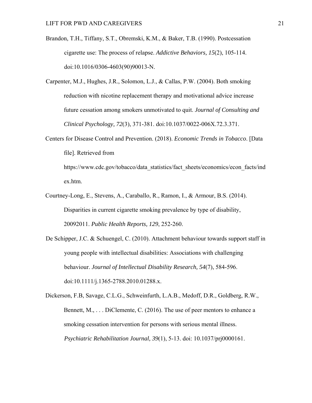- Brandon, T.H., Tiffany, S.T., Obremski, K.M., & Baker, T.B. (1990). Postcessation cigarette use: The process of relapse. *Addictive Behaviors, 15*(2), 105-114. doi:10.1016/0306-4603(90)90013-N.
- Carpenter, M.J., Hughes, J.R., Solomon, L.J., & Callas, P.W. (2004). Both smoking reduction with nicotine replacement therapy and motivational advice increase future cessation among smokers unmotivated to quit. *Journal of Consulting and Clinical Psychology, 72*(3), 371-381. doi:10.1037/0022-006X.72.3.371.
- Centers for Disease Control and Prevention. (2018). *Economic Trends in Tobacco*. [Data file]. Retrieved from https://www.cdc.gov/tobacco/data\_statistics/fact\_sheets/economics/econ\_facts/ind

ex.htm.

- Courtney-Long, E., Stevens, A., Caraballo, R., Ramon, I., & Armour, B.S. (2014). Disparities in current cigarette smoking prevalence by type of disability, 20092011. *Public Health Reports, 129*, 252-260.
- De Schipper, J.C. & Schuengel, C. (2010). Attachment behaviour towards support staff in young people with intellectual disabilities: Associations with challenging behaviour. *Journal of Intellectual Disability Research, 54*(7), 584-596. doi:10.1111/j.1365-2788.2010.01288.x.

Dickerson, F.B, Savage, C.L.G., Schweinfurth, L.A.B., Medoff, D.R., Goldberg, R.W., Bennett, M., . . . DiClemente, C. (2016). The use of peer mentors to enhance a smoking cessation intervention for persons with serious mental illness. *Psychiatric Rehabilitation Journal, 39*(1), 5-13. doi: 10.1037/prj0000161.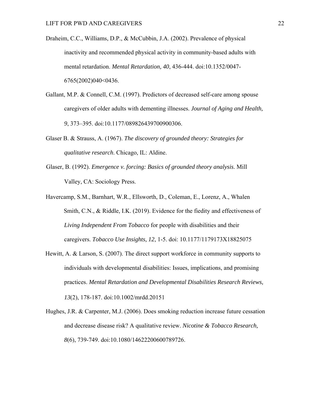- Draheim, C.C., Williams, D.P., & McCubbin, J.A. (2002). Prevalence of physical inactivity and recommended physical activity in community-based adults with mental retardation. *Mental Retardation, 40*, 436-444. doi:10.1352/0047- 6765(2002)040<0436.
- Gallant, M.P. & Connell, C.M. (1997). Predictors of decreased self-care among spouse caregivers of older adults with dementing illnesses. *Journal of Aging and Health, 9*, 373–395. doi:10.1177/089826439700900306.
- Glaser B. & Strauss, A. (1967). *The discovery of grounded theory: Strategies for qualitative research*. Chicago, IL: Aldine.
- Glaser, B. (1992). *Emergence v. forcing: Basics of grounded theory analysis*. Mill Valley, CA: Sociology Press.
- Havercamp, S.M., Barnhart, W.R., Ellsworth, D., Coleman, E., Lorenz, A., Whalen Smith, C.N., & Riddle, I.K. (2019). Evidence for the fiedity and effectiveness of *Living Independent From Tobacco* for people with disabilities and their caregivers. *Tobacco Use Insights, 12*, 1-5. doi: 10.1177/1179173X18825075
- Hewitt, A. & Larson, S. (2007). The direct support workforce in community supports to individuals with developmental disabilities: Issues, implications, and promising practices. *Mental Retardation and Developmental Disabilities Research Reviews, 13*(2), 178-187. doi:10.1002/mrdd.20151
- Hughes, J.R. & Carpenter, M.J. (2006). Does smoking reduction increase future cessation and decrease disease risk? A qualitative review. *Nicotine & Tobacco Research, 8*(6), 739-749. doi:10.1080/14622200600789726.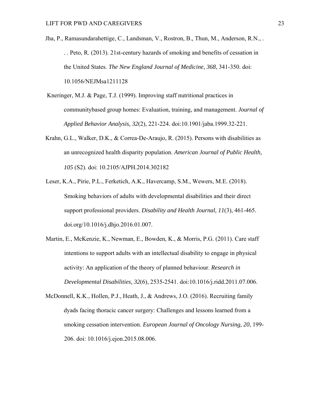- Jha, P., Ramasundarahettige, C., Landsman, V., Rostron, B., Thun, M., Anderson, R.N., . . . Peto, R. (2013). 21st-century hazards of smoking and benefits of cessation in the United States. *The New England Journal of Medicine, 368*, 341-350. doi: 10.1056/NEJMsa1211128
- Kneringer, M.J. & Page, T.J. (1999). Improving staff nutritional practices in communitybased group homes: Evaluation, training, and management. *Journal of Applied Behavior Analysis, 32*(2), 221-224. doi:10.1901/jaba.1999.32-221.
- Krahn, G.L., Walker, D.K., & Correa-De-Araujo, R. (2015). Persons with disabilities as an unrecognized health disparity population. *American Journal of Public Health, 105* (S2). doi: 10.2105/AJPH.2014.302182
- Leser, K.A., Pirie, P.L., Ferketich, A.K., Havercamp, S.M., Wewers, M.E. (2018). Smoking behaviors of adults with developmental disabilities and their direct support professional providers. *Disability and Health Journal, 11*(3), 461-465. doi.org/10.1016/j.dhjo.2016.01.007.
- Martin, E., McKenzie, K., Newman, E., Bowden, K., & Morris, P.G. (2011). Care staff intentions to support adults with an intellectual disability to engage in physical activity: An application of the theory of planned behaviour. *Research in Developmental Disabilities, 32*(6), 2535-2541. doi:10.1016/j.ridd.2011.07.006.
- McDonnell, K.K., Hollen, P.J., Heath, J., & Andrews, J.O. (2016). Recruiting family dyads facing thoracic cancer surgery: Challenges and lessons learned from a smoking cessation intervention. *European Journal of Oncology Nursing, 20*, 199- 206. doi: 10.1016/j.ejon.2015.08.006.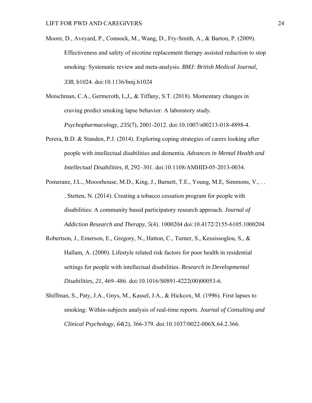- Moore, D., Aveyard, P., Connock, M., Wang, D., Fry-Smith, A., & Barton, P. (2009). Effectiveness and safety of nicotine replacement therapy assisted reduction to stop smoking: Systematic review and meta-analysis. *BMJ: British Medical Journal, 338*, b1024. doi:10.1136/bmj.b1024
- Motschman, C.A., Germeroth, L,J,, & Tiffany, S.T. (2018). Momentary changes in craving predict smoking lapse behavior: A laboratory study. *Psychopharmacology, 235*(7), 2001-2012. doi:10.1007/s00213-018-4898-4.
- Perera, B.D. & Standen, P.J. (2014). Exploring coping strategies of carers looking after people with intellectual disabilities and dementia. *Advances in Mental Health and Intellectual Disabilities, 8*, 292–301. doi:10.1108/AMHID-05-2013-0034.
- Pomeranz, J.L., Mooorhouse, M.D., King, J., Barnett, T.E., Young, M.E., Simmons, V., .. . Stetten, N. (2014). Creating a tobacco cessation program for people with disabilities: A community based participatory research approach. *Journal of Addiction Research and Therapy, 5*(4). 1000204 doi:10.4172/2155-6105.1000204
- Robertson, J., Emerson, E., Gregory, N., Hatton, C., Turner, S., Kessissoglou, S., & Hallam, A. (2000). Lifestyle related risk factors for poor health in residential settings for people with intellectual disabilities. *Research in Developmental Disabilities, 21*, 469–486. doi:10.1016/S0891-4222(00)00053-6.
- Shiffman, S., Paty, J.A., Gnys, M., Kassel, J.A., & Hickcox, M. (1996). First lapses to smoking: Within-subjects analysis of real-time reports. *Journal of Consulting and Clinical Psychology, 64*(2), 366-379. doi:10.1037/0022-006X.64.2.366.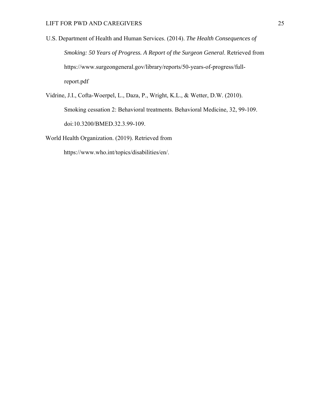- U.S. Department of Health and Human Services. (2014). *The Health Consequences of Smoking: 50 Years of Progress. A Report of the Surgeon General*. Retrieved from https://www.surgeongeneral.gov/library/reports/50-years-of-progress/full report.pdf
- Vidrine, J.I., Cofta-Woerpel, L., Daza, P., Wright, K.L., & Wetter, D.W. (2010). Smoking cessation 2: Behavioral treatments. Behavioral Medicine, 32, 99-109. doi:10.3200/BMED.32.3.99-109.

World Health Organization. (2019). Retrieved from

https://www.who.int/topics/disabilities/en/.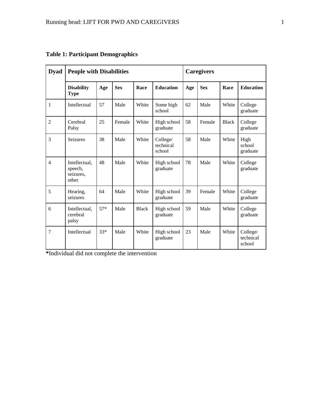| <b>Dyad</b>    | <b>People with Disabilities</b>                |       |            |              |                                 |     | <b>Caregivers</b> |              |                                 |  |
|----------------|------------------------------------------------|-------|------------|--------------|---------------------------------|-----|-------------------|--------------|---------------------------------|--|
|                | <b>Disability</b><br><b>Type</b>               | Age   | <b>Sex</b> | Race         | <b>Education</b>                | Age | <b>Sex</b>        | Race         | <b>Education</b>                |  |
| 1              | Intellectual                                   | 57    | Male       | White        | Some high<br>school             | 62  | Male              | White        | College<br>graduate             |  |
| $\overline{2}$ | Cerebral<br>Palsy                              | 25    | Female     | White        | High school<br>graduate         | 58  | Female            | <b>Black</b> | College<br>graduate             |  |
| 3              | Seizures                                       | 38    | Male       | White        | College/<br>technical<br>school | 58  | Male              | White        | High<br>school<br>graduate      |  |
| $\overline{4}$ | Intellectual,<br>speech,<br>seizures,<br>other | 48    | Male       | White        | High school<br>graduate         | 78  | Male              | White        | College<br>graduate             |  |
| 5              | Hearing,<br>seizures                           | 64    | Male       | White        | High school<br>graduate         | 39  | Female            | White        | College<br>graduate             |  |
| 6              | Intellectual,<br>cerebral<br>palsy             | $57*$ | Male       | <b>Black</b> | High school<br>graduate         | 59  | Male              | White        | College<br>graduate             |  |
| 7              | Intellectual                                   | $33*$ | Male       | White        | High school<br>graduate         | 23  | Male              | White        | College/<br>technical<br>school |  |

**Table 1: Participant Demographics** 

**\***Individual did not complete the intervention